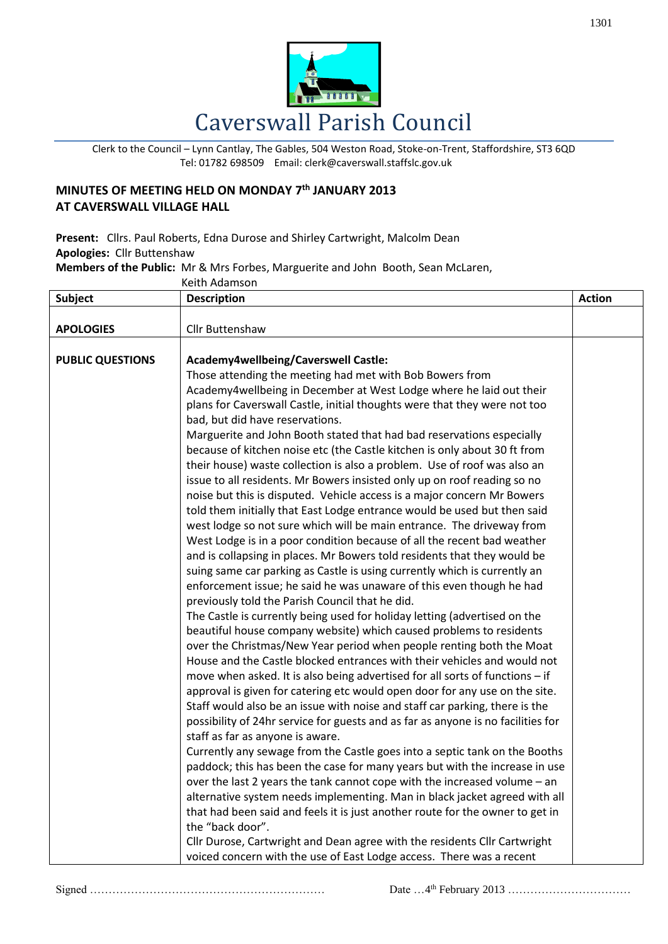

Clerk to the Council – Lynn Cantlay, The Gables, 504 Weston Road, Stoke-on-Trent, Staffordshire, ST3 6QD Tel: 01782 698509 Email: clerk@caverswall.staffslc.gov.uk

## **MINUTES OF MEETING HELD ON MONDAY 7 th JANUARY 2013 AT CAVERSWALL VILLAGE HALL**

**Present:** Cllrs. Paul Roberts, Edna Durose and Shirley Cartwright, Malcolm Dean **Apologies:** Cllr Buttenshaw

**Members of the Public:** Mr & Mrs Forbes, Marguerite and John Booth, Sean McLaren,

| Keith Adamson           |                                                                                  |               |
|-------------------------|----------------------------------------------------------------------------------|---------------|
| <b>Subject</b>          | <b>Description</b>                                                               | <b>Action</b> |
|                         |                                                                                  |               |
| <b>APOLOGIES</b>        | Cllr Buttenshaw                                                                  |               |
|                         |                                                                                  |               |
| <b>PUBLIC QUESTIONS</b> | Academy4wellbeing/Caverswell Castle:                                             |               |
|                         | Those attending the meeting had met with Bob Bowers from                         |               |
|                         | Academy4wellbeing in December at West Lodge where he laid out their              |               |
|                         | plans for Caverswall Castle, initial thoughts were that they were not too        |               |
|                         | bad, but did have reservations.                                                  |               |
|                         | Marguerite and John Booth stated that had bad reservations especially            |               |
|                         | because of kitchen noise etc (the Castle kitchen is only about 30 ft from        |               |
|                         | their house) waste collection is also a problem. Use of roof was also an         |               |
|                         | issue to all residents. Mr Bowers insisted only up on roof reading so no         |               |
|                         | noise but this is disputed. Vehicle access is a major concern Mr Bowers          |               |
|                         | told them initially that East Lodge entrance would be used but then said         |               |
|                         | west lodge so not sure which will be main entrance. The driveway from            |               |
|                         | West Lodge is in a poor condition because of all the recent bad weather          |               |
|                         | and is collapsing in places. Mr Bowers told residents that they would be         |               |
|                         | suing same car parking as Castle is using currently which is currently an        |               |
|                         | enforcement issue; he said he was unaware of this even though he had             |               |
|                         | previously told the Parish Council that he did.                                  |               |
|                         | The Castle is currently being used for holiday letting (advertised on the        |               |
|                         | beautiful house company website) which caused problems to residents              |               |
|                         | over the Christmas/New Year period when people renting both the Moat             |               |
|                         | House and the Castle blocked entrances with their vehicles and would not         |               |
|                         | move when asked. It is also being advertised for all sorts of functions - if     |               |
|                         | approval is given for catering etc would open door for any use on the site.      |               |
|                         | Staff would also be an issue with noise and staff car parking, there is the      |               |
|                         | possibility of 24hr service for guests and as far as anyone is no facilities for |               |
|                         | staff as far as anyone is aware.                                                 |               |
|                         | Currently any sewage from the Castle goes into a septic tank on the Booths       |               |
|                         | paddock; this has been the case for many years but with the increase in use      |               |
|                         | over the last 2 years the tank cannot cope with the increased volume $-$ an      |               |
|                         | alternative system needs implementing. Man in black jacket agreed with all       |               |
|                         | that had been said and feels it is just another route for the owner to get in    |               |
|                         | the "back door".                                                                 |               |
|                         | Cllr Durose, Cartwright and Dean agree with the residents Cllr Cartwright        |               |
|                         | voiced concern with the use of East Lodge access. There was a recent             |               |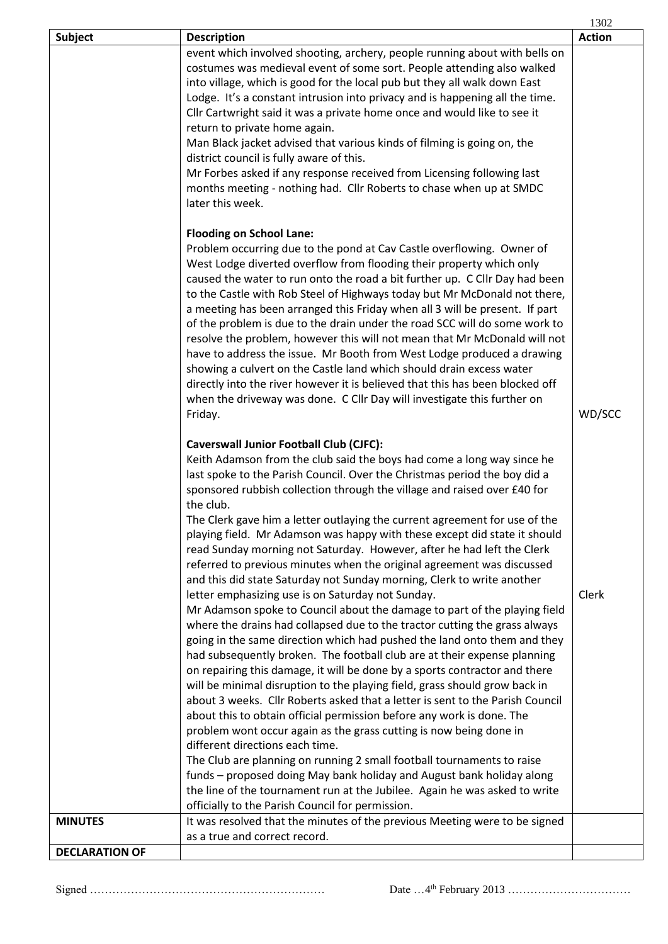|                       |                                                                                                                                                                                                                                                                                                                                                                                                                                                                                                                                                                                                                                                                                                                                                                                                                                                                                                                                                                                                                                                                                                                                                                                                                                                                                                                                                                                                                                                                                                                                                                                                                                                                                                                                                                                     | 1302          |
|-----------------------|-------------------------------------------------------------------------------------------------------------------------------------------------------------------------------------------------------------------------------------------------------------------------------------------------------------------------------------------------------------------------------------------------------------------------------------------------------------------------------------------------------------------------------------------------------------------------------------------------------------------------------------------------------------------------------------------------------------------------------------------------------------------------------------------------------------------------------------------------------------------------------------------------------------------------------------------------------------------------------------------------------------------------------------------------------------------------------------------------------------------------------------------------------------------------------------------------------------------------------------------------------------------------------------------------------------------------------------------------------------------------------------------------------------------------------------------------------------------------------------------------------------------------------------------------------------------------------------------------------------------------------------------------------------------------------------------------------------------------------------------------------------------------------------|---------------|
| <b>Subject</b>        | <b>Description</b>                                                                                                                                                                                                                                                                                                                                                                                                                                                                                                                                                                                                                                                                                                                                                                                                                                                                                                                                                                                                                                                                                                                                                                                                                                                                                                                                                                                                                                                                                                                                                                                                                                                                                                                                                                  | <b>Action</b> |
|                       | event which involved shooting, archery, people running about with bells on<br>costumes was medieval event of some sort. People attending also walked<br>into village, which is good for the local pub but they all walk down East<br>Lodge. It's a constant intrusion into privacy and is happening all the time.<br>Cllr Cartwright said it was a private home once and would like to see it<br>return to private home again.<br>Man Black jacket advised that various kinds of filming is going on, the<br>district council is fully aware of this.<br>Mr Forbes asked if any response received from Licensing following last<br>months meeting - nothing had. Cllr Roberts to chase when up at SMDC<br>later this week.                                                                                                                                                                                                                                                                                                                                                                                                                                                                                                                                                                                                                                                                                                                                                                                                                                                                                                                                                                                                                                                          |               |
|                       | <b>Flooding on School Lane:</b><br>Problem occurring due to the pond at Cav Castle overflowing. Owner of<br>West Lodge diverted overflow from flooding their property which only<br>caused the water to run onto the road a bit further up. C Cllr Day had been<br>to the Castle with Rob Steel of Highways today but Mr McDonald not there,<br>a meeting has been arranged this Friday when all 3 will be present. If part<br>of the problem is due to the drain under the road SCC will do some work to<br>resolve the problem, however this will not mean that Mr McDonald will not<br>have to address the issue. Mr Booth from West Lodge produced a drawing<br>showing a culvert on the Castle land which should drain excess water<br>directly into the river however it is believed that this has been blocked off<br>when the driveway was done. C Cllr Day will investigate this further on<br>Friday.                                                                                                                                                                                                                                                                                                                                                                                                                                                                                                                                                                                                                                                                                                                                                                                                                                                                     | WD/SCC        |
|                       | <b>Caverswall Junior Football Club (CJFC):</b><br>Keith Adamson from the club said the boys had come a long way since he<br>last spoke to the Parish Council. Over the Christmas period the boy did a<br>sponsored rubbish collection through the village and raised over £40 for<br>the club.<br>The Clerk gave him a letter outlaying the current agreement for use of the<br>playing field. Mr Adamson was happy with these except did state it should<br>read Sunday morning not Saturday. However, after he had left the Clerk<br>referred to previous minutes when the original agreement was discussed<br>and this did state Saturday not Sunday morning, Clerk to write another<br>letter emphasizing use is on Saturday not Sunday.<br>Mr Adamson spoke to Council about the damage to part of the playing field<br>where the drains had collapsed due to the tractor cutting the grass always<br>going in the same direction which had pushed the land onto them and they<br>had subsequently broken. The football club are at their expense planning<br>on repairing this damage, it will be done by a sports contractor and there<br>will be minimal disruption to the playing field, grass should grow back in<br>about 3 weeks. Cllr Roberts asked that a letter is sent to the Parish Council<br>about this to obtain official permission before any work is done. The<br>problem wont occur again as the grass cutting is now being done in<br>different directions each time.<br>The Club are planning on running 2 small football tournaments to raise<br>funds - proposed doing May bank holiday and August bank holiday along<br>the line of the tournament run at the Jubilee. Again he was asked to write<br>officially to the Parish Council for permission. | Clerk         |
| <b>MINUTES</b>        | It was resolved that the minutes of the previous Meeting were to be signed                                                                                                                                                                                                                                                                                                                                                                                                                                                                                                                                                                                                                                                                                                                                                                                                                                                                                                                                                                                                                                                                                                                                                                                                                                                                                                                                                                                                                                                                                                                                                                                                                                                                                                          |               |
|                       | as a true and correct record.                                                                                                                                                                                                                                                                                                                                                                                                                                                                                                                                                                                                                                                                                                                                                                                                                                                                                                                                                                                                                                                                                                                                                                                                                                                                                                                                                                                                                                                                                                                                                                                                                                                                                                                                                       |               |
| <b>DECLARATION OF</b> |                                                                                                                                                                                                                                                                                                                                                                                                                                                                                                                                                                                                                                                                                                                                                                                                                                                                                                                                                                                                                                                                                                                                                                                                                                                                                                                                                                                                                                                                                                                                                                                                                                                                                                                                                                                     |               |

Signed ……………………………………………………… Date …4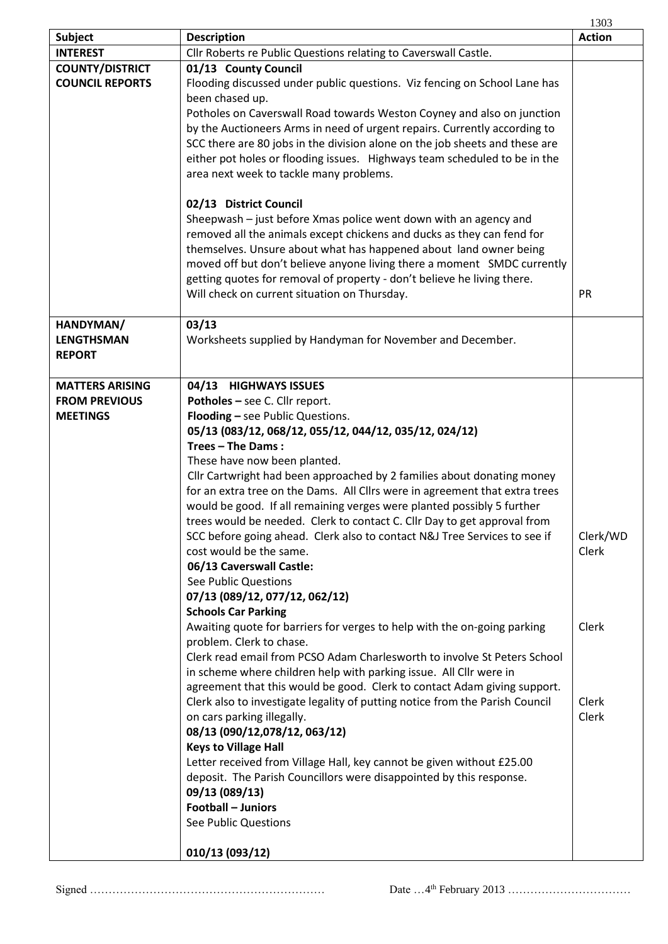|                                                  |                                                                                                                                                                                                                                                                                                                                                                                                                                                                                                                                                                                                                                                                                                                                                                                                                                                                                                                                       | 1303          |
|--------------------------------------------------|---------------------------------------------------------------------------------------------------------------------------------------------------------------------------------------------------------------------------------------------------------------------------------------------------------------------------------------------------------------------------------------------------------------------------------------------------------------------------------------------------------------------------------------------------------------------------------------------------------------------------------------------------------------------------------------------------------------------------------------------------------------------------------------------------------------------------------------------------------------------------------------------------------------------------------------|---------------|
| Subject                                          | <b>Description</b>                                                                                                                                                                                                                                                                                                                                                                                                                                                                                                                                                                                                                                                                                                                                                                                                                                                                                                                    | <b>Action</b> |
| <b>INTEREST</b>                                  | Cllr Roberts re Public Questions relating to Caverswall Castle.                                                                                                                                                                                                                                                                                                                                                                                                                                                                                                                                                                                                                                                                                                                                                                                                                                                                       |               |
| <b>COUNTY/DISTRICT</b><br><b>COUNCIL REPORTS</b> | 01/13 County Council<br>Flooding discussed under public questions. Viz fencing on School Lane has<br>been chased up.<br>Potholes on Caverswall Road towards Weston Coyney and also on junction<br>by the Auctioneers Arms in need of urgent repairs. Currently according to<br>SCC there are 80 jobs in the division alone on the job sheets and these are<br>either pot holes or flooding issues. Highways team scheduled to be in the<br>area next week to tackle many problems.<br>02/13 District Council<br>Sheepwash – just before Xmas police went down with an agency and<br>removed all the animals except chickens and ducks as they can fend for<br>themselves. Unsure about what has happened about land owner being<br>moved off but don't believe anyone living there a moment SMDC currently<br>getting quotes for removal of property - don't believe he living there.<br>Will check on current situation on Thursday. | PR            |
| HANDYMAN/                                        | 03/13                                                                                                                                                                                                                                                                                                                                                                                                                                                                                                                                                                                                                                                                                                                                                                                                                                                                                                                                 |               |
| <b>LENGTHSMAN</b><br><b>REPORT</b>               | Worksheets supplied by Handyman for November and December.                                                                                                                                                                                                                                                                                                                                                                                                                                                                                                                                                                                                                                                                                                                                                                                                                                                                            |               |
| <b>MATTERS ARISING</b>                           | 04/13 HIGHWAYS ISSUES                                                                                                                                                                                                                                                                                                                                                                                                                                                                                                                                                                                                                                                                                                                                                                                                                                                                                                                 |               |
| <b>FROM PREVIOUS</b>                             | Potholes - see C. Cllr report.                                                                                                                                                                                                                                                                                                                                                                                                                                                                                                                                                                                                                                                                                                                                                                                                                                                                                                        |               |
| <b>MEETINGS</b>                                  | Flooding - see Public Questions.                                                                                                                                                                                                                                                                                                                                                                                                                                                                                                                                                                                                                                                                                                                                                                                                                                                                                                      |               |
|                                                  | 05/13 (083/12, 068/12, 055/12, 044/12, 035/12, 024/12)                                                                                                                                                                                                                                                                                                                                                                                                                                                                                                                                                                                                                                                                                                                                                                                                                                                                                |               |
|                                                  | Trees - The Dams:                                                                                                                                                                                                                                                                                                                                                                                                                                                                                                                                                                                                                                                                                                                                                                                                                                                                                                                     |               |
|                                                  | These have now been planted.                                                                                                                                                                                                                                                                                                                                                                                                                                                                                                                                                                                                                                                                                                                                                                                                                                                                                                          |               |
|                                                  | Cllr Cartwright had been approached by 2 families about donating money                                                                                                                                                                                                                                                                                                                                                                                                                                                                                                                                                                                                                                                                                                                                                                                                                                                                |               |
|                                                  | for an extra tree on the Dams. All Cllrs were in agreement that extra trees<br>would be good. If all remaining verges were planted possibly 5 further                                                                                                                                                                                                                                                                                                                                                                                                                                                                                                                                                                                                                                                                                                                                                                                 |               |
|                                                  | trees would be needed. Clerk to contact C. Cllr Day to get approval from                                                                                                                                                                                                                                                                                                                                                                                                                                                                                                                                                                                                                                                                                                                                                                                                                                                              |               |
|                                                  | SCC before going ahead. Clerk also to contact N&J Tree Services to see if                                                                                                                                                                                                                                                                                                                                                                                                                                                                                                                                                                                                                                                                                                                                                                                                                                                             | Clerk/WD      |
|                                                  | cost would be the same.                                                                                                                                                                                                                                                                                                                                                                                                                                                                                                                                                                                                                                                                                                                                                                                                                                                                                                               | Clerk         |
|                                                  | 06/13 Caverswall Castle:                                                                                                                                                                                                                                                                                                                                                                                                                                                                                                                                                                                                                                                                                                                                                                                                                                                                                                              |               |
|                                                  | See Public Questions                                                                                                                                                                                                                                                                                                                                                                                                                                                                                                                                                                                                                                                                                                                                                                                                                                                                                                                  |               |
|                                                  | 07/13 (089/12, 077/12, 062/12)                                                                                                                                                                                                                                                                                                                                                                                                                                                                                                                                                                                                                                                                                                                                                                                                                                                                                                        |               |
|                                                  | <b>Schools Car Parking</b>                                                                                                                                                                                                                                                                                                                                                                                                                                                                                                                                                                                                                                                                                                                                                                                                                                                                                                            |               |
|                                                  | Awaiting quote for barriers for verges to help with the on-going parking<br>problem. Clerk to chase.                                                                                                                                                                                                                                                                                                                                                                                                                                                                                                                                                                                                                                                                                                                                                                                                                                  | Clerk         |
|                                                  | Clerk read email from PCSO Adam Charlesworth to involve St Peters School                                                                                                                                                                                                                                                                                                                                                                                                                                                                                                                                                                                                                                                                                                                                                                                                                                                              |               |
|                                                  | in scheme where children help with parking issue. All Cllr were in                                                                                                                                                                                                                                                                                                                                                                                                                                                                                                                                                                                                                                                                                                                                                                                                                                                                    |               |
|                                                  | agreement that this would be good. Clerk to contact Adam giving support.                                                                                                                                                                                                                                                                                                                                                                                                                                                                                                                                                                                                                                                                                                                                                                                                                                                              |               |
|                                                  | Clerk also to investigate legality of putting notice from the Parish Council                                                                                                                                                                                                                                                                                                                                                                                                                                                                                                                                                                                                                                                                                                                                                                                                                                                          | Clerk         |
|                                                  | on cars parking illegally.                                                                                                                                                                                                                                                                                                                                                                                                                                                                                                                                                                                                                                                                                                                                                                                                                                                                                                            | Clerk         |
|                                                  | 08/13 (090/12,078/12, 063/12)                                                                                                                                                                                                                                                                                                                                                                                                                                                                                                                                                                                                                                                                                                                                                                                                                                                                                                         |               |
|                                                  | <b>Keys to Village Hall</b>                                                                                                                                                                                                                                                                                                                                                                                                                                                                                                                                                                                                                                                                                                                                                                                                                                                                                                           |               |
|                                                  | Letter received from Village Hall, key cannot be given without £25.00<br>deposit. The Parish Councillors were disappointed by this response.                                                                                                                                                                                                                                                                                                                                                                                                                                                                                                                                                                                                                                                                                                                                                                                          |               |
|                                                  | 09/13 (089/13)                                                                                                                                                                                                                                                                                                                                                                                                                                                                                                                                                                                                                                                                                                                                                                                                                                                                                                                        |               |
|                                                  | Football - Juniors                                                                                                                                                                                                                                                                                                                                                                                                                                                                                                                                                                                                                                                                                                                                                                                                                                                                                                                    |               |
|                                                  | See Public Questions                                                                                                                                                                                                                                                                                                                                                                                                                                                                                                                                                                                                                                                                                                                                                                                                                                                                                                                  |               |
|                                                  |                                                                                                                                                                                                                                                                                                                                                                                                                                                                                                                                                                                                                                                                                                                                                                                                                                                                                                                                       |               |
|                                                  | 010/13 (093/12)                                                                                                                                                                                                                                                                                                                                                                                                                                                                                                                                                                                                                                                                                                                                                                                                                                                                                                                       |               |

Signed ……………………………………………………… Date …4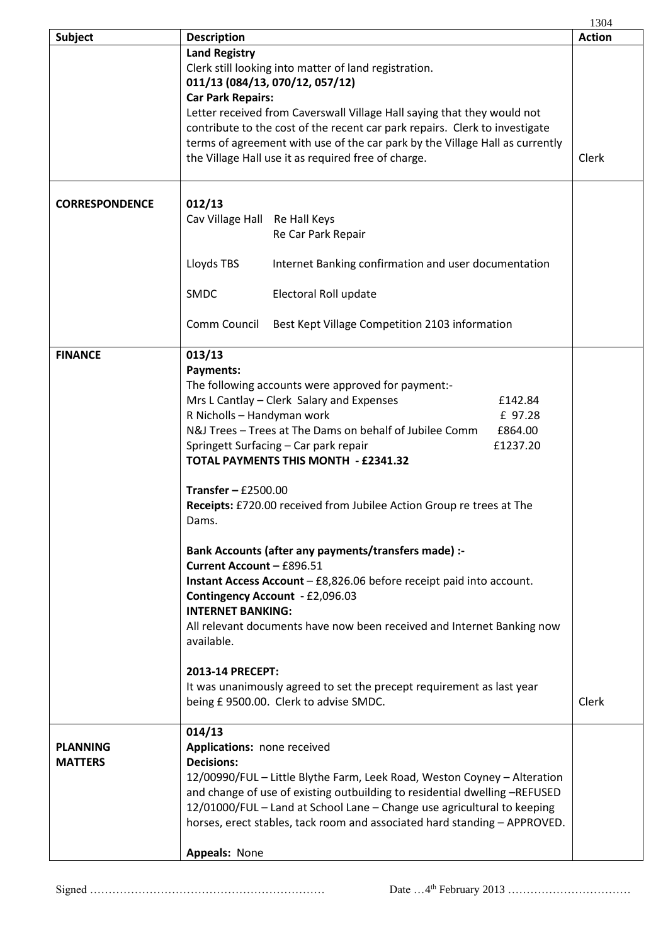|                                   |                                                                                                                                                                                                                                                                                                                                                                                                                                                                                                                                                                                                                                                                                                                                                                                                                                                                                                                          | 1304          |
|-----------------------------------|--------------------------------------------------------------------------------------------------------------------------------------------------------------------------------------------------------------------------------------------------------------------------------------------------------------------------------------------------------------------------------------------------------------------------------------------------------------------------------------------------------------------------------------------------------------------------------------------------------------------------------------------------------------------------------------------------------------------------------------------------------------------------------------------------------------------------------------------------------------------------------------------------------------------------|---------------|
| Subject                           | <b>Description</b>                                                                                                                                                                                                                                                                                                                                                                                                                                                                                                                                                                                                                                                                                                                                                                                                                                                                                                       | <b>Action</b> |
|                                   | <b>Land Registry</b><br>Clerk still looking into matter of land registration.<br>011/13 (084/13, 070/12, 057/12)<br><b>Car Park Repairs:</b><br>Letter received from Caverswall Village Hall saying that they would not<br>contribute to the cost of the recent car park repairs. Clerk to investigate<br>terms of agreement with use of the car park by the Village Hall as currently<br>the Village Hall use it as required free of charge.                                                                                                                                                                                                                                                                                                                                                                                                                                                                            | Clerk         |
| <b>CORRESPONDENCE</b>             | 012/13<br>Cav Village Hall Re Hall Keys<br>Re Car Park Repair                                                                                                                                                                                                                                                                                                                                                                                                                                                                                                                                                                                                                                                                                                                                                                                                                                                            |               |
|                                   | Lloyds TBS<br>Internet Banking confirmation and user documentation                                                                                                                                                                                                                                                                                                                                                                                                                                                                                                                                                                                                                                                                                                                                                                                                                                                       |               |
|                                   | <b>SMDC</b><br>Electoral Roll update                                                                                                                                                                                                                                                                                                                                                                                                                                                                                                                                                                                                                                                                                                                                                                                                                                                                                     |               |
|                                   | Comm Council<br>Best Kept Village Competition 2103 information                                                                                                                                                                                                                                                                                                                                                                                                                                                                                                                                                                                                                                                                                                                                                                                                                                                           |               |
| <b>FINANCE</b>                    | 013/13<br>Payments:<br>The following accounts were approved for payment:-<br>Mrs L Cantlay - Clerk Salary and Expenses<br>£142.84<br>R Nicholls - Handyman work<br>£ 97.28<br>N&J Trees - Trees at The Dams on behalf of Jubilee Comm<br>£864.00<br>Springett Surfacing - Car park repair<br>£1237.20<br><b>TOTAL PAYMENTS THIS MONTH - £2341.32</b><br>Transfer $-$ £2500.00<br>Receipts: £720.00 received from Jubilee Action Group re trees at The<br>Dams.<br>Bank Accounts (after any payments/transfers made) :-<br>Current Account - £896.51<br>Instant Access Account - £8,826.06 before receipt paid into account.<br>Contingency Account - £2,096.03<br><b>INTERNET BANKING:</b><br>All relevant documents have now been received and Internet Banking now<br>available.<br>2013-14 PRECEPT:<br>It was unanimously agreed to set the precept requirement as last year<br>being £9500.00. Clerk to advise SMDC. | Clerk         |
| <b>PLANNING</b><br><b>MATTERS</b> | 014/13<br>Applications: none received<br><b>Decisions:</b><br>12/00990/FUL - Little Blythe Farm, Leek Road, Weston Coyney - Alteration<br>and change of use of existing outbuilding to residential dwelling -REFUSED<br>12/01000/FUL - Land at School Lane - Change use agricultural to keeping<br>horses, erect stables, tack room and associated hard standing - APPROVED.                                                                                                                                                                                                                                                                                                                                                                                                                                                                                                                                             |               |
|                                   | Appeals: None                                                                                                                                                                                                                                                                                                                                                                                                                                                                                                                                                                                                                                                                                                                                                                                                                                                                                                            |               |